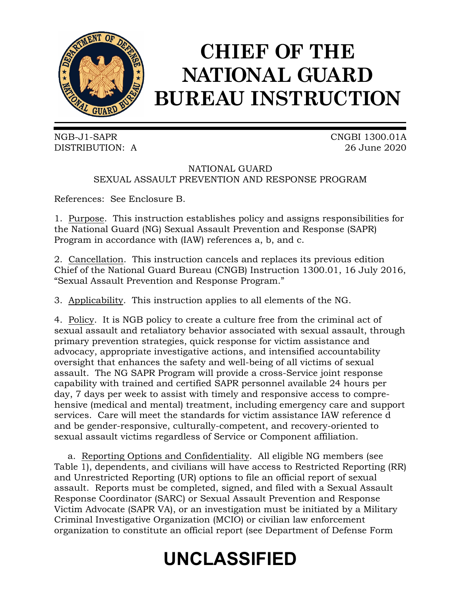

# **CHIEF OF THE NATIONAL GUARD BUREAU INSTRUCTION**

NGB-J1-SAPR CNGBI 1300.01A DISTRIBUTION: A 26 June 2020

# NATIONAL GUARD SEXUAL ASSAULT PREVENTION AND RESPONSE PROGRAM

References: See Enclosure B.

1. Purpose. This instruction establishes policy and assigns responsibilities for the National Guard (NG) Sexual Assault Prevention and Response (SAPR) Program in accordance with (IAW) references a, b, and c.

2. Cancellation. This instruction cancels and replaces its previous edition Chief of the National Guard Bureau (CNGB) Instruction 1300.01, 16 July 2016, "Sexual Assault Prevention and Response Program."

3. Applicability. This instruction applies to all elements of the NG.

4. Policy. It is NGB policy to create a culture free from the criminal act of sexual assault and retaliatory behavior associated with sexual assault, through primary prevention strategies, quick response for victim assistance and advocacy, appropriate investigative actions, and intensified accountability oversight that enhances the safety and well-being of all victims of sexual assault. The NG SAPR Program will provide a cross-Service joint response capability with trained and certified SAPR personnel available 24 hours per day, 7 days per week to assist with timely and responsive access to comprehensive (medical and mental) treatment, including emergency care and support services. Care will meet the standards for victim assistance IAW reference d and be gender-responsive, culturally-competent, and recovery-oriented to sexual assault victims regardless of Service or Component affiliation.

a. Reporting Options and Confidentiality. All eligible NG members (see Table 1), dependents, and civilians will have access to Restricted Reporting (RR) and Unrestricted Reporting (UR) options to file an official report of sexual assault. Reports must be completed, signed, and filed with a Sexual Assault Response Coordinator (SARC) or Sexual Assault Prevention and Response Victim Advocate (SAPR VA), or an investigation must be initiated by a Military Criminal Investigative Organization (MCIO) or civilian law enforcement organization to constitute an official report (see Department of Defense Form

# **UNCLASSIFIED**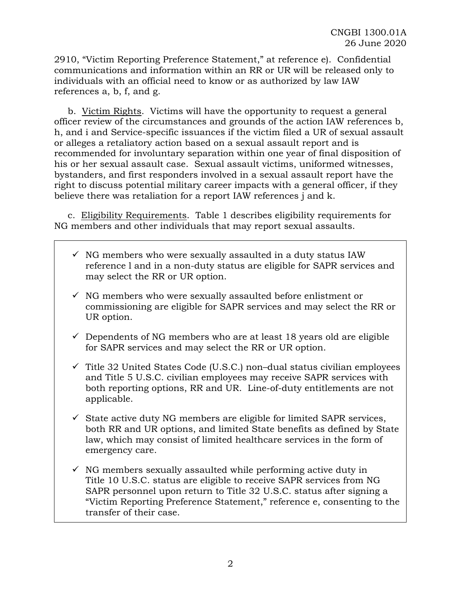2910, "Victim Reporting Preference Statement," at reference e). Confidential communications and information within an RR or UR will be released only to individuals with an official need to know or as authorized by law IAW references a, b, f, and g.

b. Victim Rights. Victims will have the opportunity to request a general officer review of the circumstances and grounds of the action IAW references b, h, and i and Service-specific issuances if the victim filed a UR of sexual assault or alleges a retaliatory action based on a sexual assault report and is recommended for involuntary separation within one year of final disposition of his or her sexual assault case. Sexual assault victims, uniformed witnesses, bystanders, and first responders involved in a sexual assault report have the right to discuss potential military career impacts with a general officer, if they believe there was retaliation for a report IAW references j and k.

c. Eligibility Requirements. Table 1 describes eligibility requirements for NG members and other individuals that may report sexual assaults.

- $\checkmark$  NG members who were sexually assaulted in a duty status IAW reference l and in a non-duty status are eligible for SAPR services and may select the RR or UR option.
- $\checkmark$  NG members who were sexually assaulted before enlistment or commissioning are eligible for SAPR services and may select the RR or UR option.
- $\checkmark$  Dependents of NG members who are at least 18 years old are eligible for SAPR services and may select the RR or UR option.
- $\checkmark$  Title 32 United States Code (U.S.C.) non-dual status civilian employees and Title 5 U.S.C. civilian employees may receive SAPR services with both reporting options, RR and UR. Line-of-duty entitlements are not applicable.
- $\checkmark$  State active duty NG members are eligible for limited SAPR services, both RR and UR options, and limited State benefits as defined by State law, which may consist of limited healthcare services in the form of emergency care.
- $\checkmark$  NG members sexually assaulted while performing active duty in Title 10 U.S.C. status are eligible to receive SAPR services from NG SAPR personnel upon return to Title 32 U.S.C. status after signing a "Victim Reporting Preference Statement," reference e, consenting to the transfer of their case.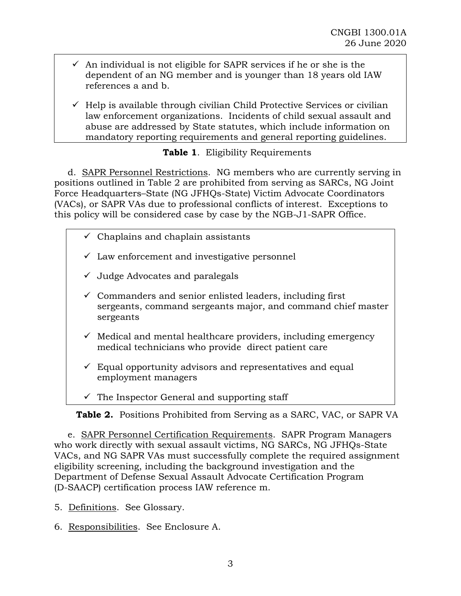- $\checkmark$  An individual is not eligible for SAPR services if he or she is the dependent of an NG member and is younger than 18 years old IAW references a and b.
- $\checkmark$  Help is available through civilian Child Protective Services or civilian law enforcement organizations. Incidents of child sexual assault and abuse are addressed by State statutes, which include information on mandatory reporting requirements and general reporting guidelines.

# **Table 1**. Eligibility Requirements

d. SAPR Personnel Restrictions. NG members who are currently serving in positions outlined in Table 2 are prohibited from serving as SARCs, NG Joint Force Headquarters–State (NG JFHQs-State) Victim Advocate Coordinators (VACs), or SAPR VAs due to professional conflicts of interest. Exceptions to this policy will be considered case by case by the NGB-J1-SAPR Office.

- $\checkmark$  Chaplains and chaplain assistants
- $\checkmark$  Law enforcement and investigative personnel
- $\checkmark$  Judge Advocates and paralegals
- $\checkmark$  Commanders and senior enlisted leaders, including first sergeants, command sergeants major, and command chief master sergeants
- $\checkmark$  Medical and mental healthcare providers, including emergency medical technicians who provide direct patient care
- $\checkmark$  Equal opportunity advisors and representatives and equal employment managers
- $\checkmark$  The Inspector General and supporting staff

**Table 2.** Positions Prohibited from Serving as a SARC, VAC, or SAPR VA

e. SAPR Personnel Certification Requirements. SAPR Program Managers who work directly with sexual assault victims, NG SARCs, NG JFHQs-State VACs, and NG SAPR VAs must successfully complete the required assignment eligibility screening, including the background investigation and the Department of Defense Sexual Assault Advocate Certification Program (D-SAACP) certification process IAW reference m.

5. Definitions. See Glossary.

6. Responsibilities. See Enclosure A.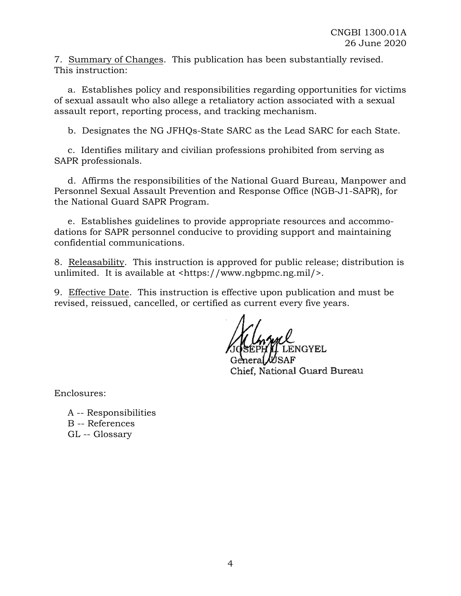7. Summary of Changes. This publication has been substantially revised. This instruction:

a. Establishes policy and responsibilities regarding opportunities for victims of sexual assault who also allege a retaliatory action associated with a sexual assault report, reporting process, and tracking mechanism.

b. Designates the NG JFHQs-State SARC as the Lead SARC for each State.

c. Identifies military and civilian professions prohibited from serving as SAPR professionals.

d. Affirms the responsibilities of the National Guard Bureau, Manpower and Personnel Sexual Assault Prevention and Response Office (NGB-J1-SAPR), for the National Guard SAPR Program.

e. Establishes guidelines to provide appropriate resources and accommodations for SAPR personnel conducive to providing support and maintaining confidential communications.

8. Releasability. This instruction is approved for public release; distribution is unlimited. It is available at <https://www.ngbpmc.ng.mil/>.

9. Effective Date. This instruction is effective upon publication and must be revised, reissued, cancelled, or certified as current every five years.

NGYEL Chief, National Guard Bureau

Enclosures:

A -- Responsibilities B -- References GL -- Glossary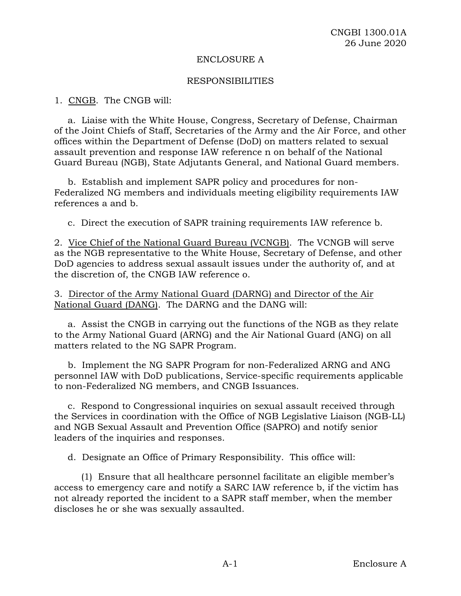#### ENCLOSURE A

#### RESPONSIBILITIES

1. CNGB. The CNGB will:

a. Liaise with the White House, Congress, Secretary of Defense, Chairman of the Joint Chiefs of Staff, Secretaries of the Army and the Air Force, and other offices within the Department of Defense (DoD) on matters related to sexual assault prevention and response IAW reference n on behalf of the National Guard Bureau (NGB), State Adjutants General, and National Guard members.

b. Establish and implement SAPR policy and procedures for non-Federalized NG members and individuals meeting eligibility requirements IAW references a and b.

c. Direct the execution of SAPR training requirements IAW reference b.

2. Vice Chief of the National Guard Bureau (VCNGB). The VCNGB will serve as the NGB representative to the White House, Secretary of Defense, and other DoD agencies to address sexual assault issues under the authority of, and at the discretion of, the CNGB IAW reference o.

3. Director of the Army National Guard (DARNG) and Director of the Air National Guard (DANG). The DARNG and the DANG will:

a. Assist the CNGB in carrying out the functions of the NGB as they relate to the Army National Guard (ARNG) and the Air National Guard (ANG) on all matters related to the NG SAPR Program.

b. Implement the NG SAPR Program for non-Federalized ARNG and ANG personnel IAW with DoD publications, Service-specific requirements applicable to non-Federalized NG members, and CNGB Issuances.

c. Respond to Congressional inquiries on sexual assault received through the Services in coordination with the Office of NGB Legislative Liaison (NGB-LL) and NGB Sexual Assault and Prevention Office (SAPRO) and notify senior leaders of the inquiries and responses.

d. Designate an Office of Primary Responsibility. This office will:

(1) Ensure that all healthcare personnel facilitate an eligible member's access to emergency care and notify a SARC IAW reference b, if the victim has not already reported the incident to a SAPR staff member, when the member discloses he or she was sexually assaulted.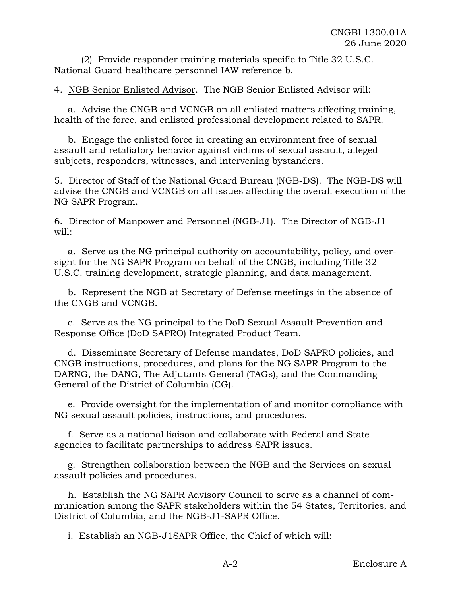(2) Provide responder training materials specific to Title 32 U.S.C. National Guard healthcare personnel IAW reference b.

4. NGB Senior Enlisted Advisor. The NGB Senior Enlisted Advisor will:

a. Advise the CNGB and VCNGB on all enlisted matters affecting training, health of the force, and enlisted professional development related to SAPR.

b. Engage the enlisted force in creating an environment free of sexual assault and retaliatory behavior against victims of sexual assault, alleged subjects, responders, witnesses, and intervening bystanders.

5. Director of Staff of the National Guard Bureau (NGB-DS). The NGB-DS will advise the CNGB and VCNGB on all issues affecting the overall execution of the NG SAPR Program.

6. Director of Manpower and Personnel (NGB-J1). The Director of NGB-J1 will:

a. Serve as the NG principal authority on accountability, policy, and oversight for the NG SAPR Program on behalf of the CNGB, including Title 32 U.S.C. training development, strategic planning, and data management.

b. Represent the NGB at Secretary of Defense meetings in the absence of the CNGB and VCNGB.

c. Serve as the NG principal to the DoD Sexual Assault Prevention and Response Office (DoD SAPRO) Integrated Product Team.

d. Disseminate Secretary of Defense mandates, DoD SAPRO policies, and CNGB instructions, procedures, and plans for the NG SAPR Program to the DARNG, the DANG, The Adjutants General (TAGs), and the Commanding General of the District of Columbia (CG).

e. Provide oversight for the implementation of and monitor compliance with NG sexual assault policies, instructions, and procedures.

f. Serve as a national liaison and collaborate with Federal and State agencies to facilitate partnerships to address SAPR issues.

g. Strengthen collaboration between the NGB and the Services on sexual assault policies and procedures.

h. Establish the NG SAPR Advisory Council to serve as a channel of communication among the SAPR stakeholders within the 54 States, Territories, and District of Columbia, and the NGB-J1-SAPR Office.

i. Establish an NGB-J1SAPR Office, the Chief of which will: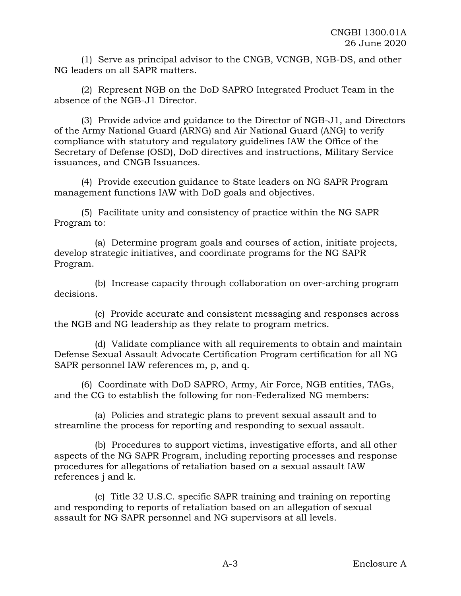(1) Serve as principal advisor to the CNGB, VCNGB, NGB-DS, and other NG leaders on all SAPR matters.

(2) Represent NGB on the DoD SAPRO Integrated Product Team in the absence of the NGB-J1 Director.

(3) Provide advice and guidance to the Director of NGB-J1, and Directors of the Army National Guard (ARNG) and Air National Guard (ANG) to verify compliance with statutory and regulatory guidelines IAW the Office of the Secretary of Defense (OSD), DoD directives and instructions, Military Service issuances, and CNGB Issuances.

(4) Provide execution guidance to State leaders on NG SAPR Program management functions IAW with DoD goals and objectives.

(5) Facilitate unity and consistency of practice within the NG SAPR Program to:

(a) Determine program goals and courses of action, initiate projects, develop strategic initiatives, and coordinate programs for the NG SAPR Program.

(b) Increase capacity through collaboration on over-arching program decisions.

(c) Provide accurate and consistent messaging and responses across the NGB and NG leadership as they relate to program metrics.

(d) Validate compliance with all requirements to obtain and maintain Defense Sexual Assault Advocate Certification Program certification for all NG SAPR personnel IAW references m, p, and q.

(6) Coordinate with DoD SAPRO, Army, Air Force, NGB entities, TAGs, and the CG to establish the following for non-Federalized NG members:

(a) Policies and strategic plans to prevent sexual assault and to streamline the process for reporting and responding to sexual assault.

(b) Procedures to support victims, investigative efforts, and all other aspects of the NG SAPR Program, including reporting processes and response procedures for allegations of retaliation based on a sexual assault IAW references j and k.

(c) Title 32 U.S.C. specific SAPR training and training on reporting and responding to reports of retaliation based on an allegation of sexual assault for NG SAPR personnel and NG supervisors at all levels.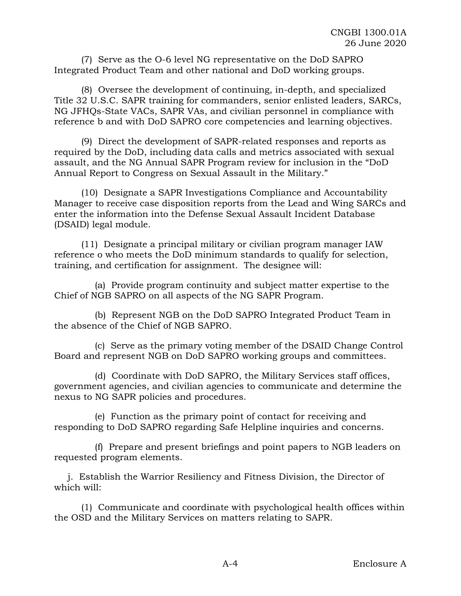(7) Serve as the O-6 level NG representative on the DoD SAPRO Integrated Product Team and other national and DoD working groups.

(8) Oversee the development of continuing, in-depth, and specialized Title 32 U.S.C. SAPR training for commanders, senior enlisted leaders, SARCs, NG JFHQs-State VACs, SAPR VAs, and civilian personnel in compliance with reference b and with DoD SAPRO core competencies and learning objectives.

(9) Direct the development of SAPR-related responses and reports as required by the DoD, including data calls and metrics associated with sexual assault, and the NG Annual SAPR Program review for inclusion in the "DoD Annual Report to Congress on Sexual Assault in the Military."

(10) Designate a SAPR Investigations Compliance and Accountability Manager to receive case disposition reports from the Lead and Wing SARCs and enter the information into the Defense Sexual Assault Incident Database (DSAID) legal module.

(11) Designate a principal military or civilian program manager IAW reference o who meets the DoD minimum standards to qualify for selection, training, and certification for assignment. The designee will:

(a) Provide program continuity and subject matter expertise to the Chief of NGB SAPRO on all aspects of the NG SAPR Program.

(b) Represent NGB on the DoD SAPRO Integrated Product Team in the absence of the Chief of NGB SAPRO.

(c) Serve as the primary voting member of the DSAID Change Control Board and represent NGB on DoD SAPRO working groups and committees.

(d) Coordinate with DoD SAPRO, the Military Services staff offices, government agencies, and civilian agencies to communicate and determine the nexus to NG SAPR policies and procedures.

(e) Function as the primary point of contact for receiving and responding to DoD SAPRO regarding Safe Helpline inquiries and concerns.

(f) Prepare and present briefings and point papers to NGB leaders on requested program elements.

j. Establish the Warrior Resiliency and Fitness Division, the Director of which will:

(1) Communicate and coordinate with psychological health offices within the OSD and the Military Services on matters relating to SAPR.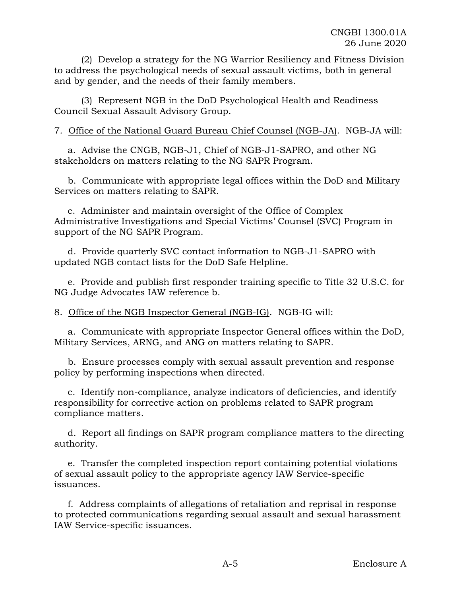(2) Develop a strategy for the NG Warrior Resiliency and Fitness Division to address the psychological needs of sexual assault victims, both in general and by gender, and the needs of their family members.

(3) Represent NGB in the DoD Psychological Health and Readiness Council Sexual Assault Advisory Group.

# 7. Office of the National Guard Bureau Chief Counsel (NGB-JA). NGB-JA will:

a. Advise the CNGB, NGB-J1, Chief of NGB-J1-SAPRO, and other NG stakeholders on matters relating to the NG SAPR Program.

b. Communicate with appropriate legal offices within the DoD and Military Services on matters relating to SAPR.

c. Administer and maintain oversight of the Office of Complex Administrative Investigations and Special Victims' Counsel (SVC) Program in support of the NG SAPR Program.

d. Provide quarterly SVC contact information to NGB-J1-SAPRO with updated NGB contact lists for the DoD Safe Helpline.

e. Provide and publish first responder training specific to Title 32 U.S.C. for NG Judge Advocates IAW reference b.

8. Office of the NGB Inspector General (NGB-IG). NGB-IG will:

a. Communicate with appropriate Inspector General offices within the DoD, Military Services, ARNG, and ANG on matters relating to SAPR.

b. Ensure processes comply with sexual assault prevention and response policy by performing inspections when directed.

c. Identify non-compliance, analyze indicators of deficiencies, and identify responsibility for corrective action on problems related to SAPR program compliance matters.

d. Report all findings on SAPR program compliance matters to the directing authority.

e. Transfer the completed inspection report containing potential violations of sexual assault policy to the appropriate agency IAW Service-specific issuances.

f. Address complaints of allegations of retaliation and reprisal in response to protected communications regarding sexual assault and sexual harassment IAW Service-specific issuances.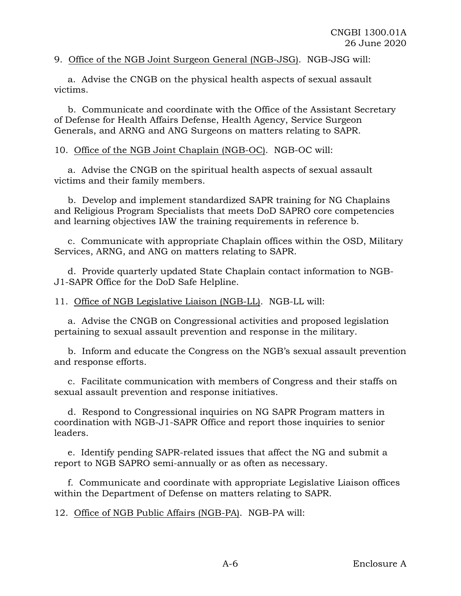# 9. Office of the NGB Joint Surgeon General (NGB-JSG). NGB-JSG will:

a. Advise the CNGB on the physical health aspects of sexual assault victims.

b. Communicate and coordinate with the Office of the Assistant Secretary of Defense for Health Affairs Defense, Health Agency, Service Surgeon Generals, and ARNG and ANG Surgeons on matters relating to SAPR.

### 10. Office of the NGB Joint Chaplain (NGB-OC). NGB-OC will:

a. Advise the CNGB on the spiritual health aspects of sexual assault victims and their family members.

b. Develop and implement standardized SAPR training for NG Chaplains and Religious Program Specialists that meets DoD SAPRO core competencies and learning objectives IAW the training requirements in reference b.

c. Communicate with appropriate Chaplain offices within the OSD, Military Services, ARNG, and ANG on matters relating to SAPR.

d. Provide quarterly updated State Chaplain contact information to NGB-J1-SAPR Office for the DoD Safe Helpline.

# 11. Office of NGB Legislative Liaison (NGB-LL). NGB-LL will:

a. Advise the CNGB on Congressional activities and proposed legislation pertaining to sexual assault prevention and response in the military.

b. Inform and educate the Congress on the NGB's sexual assault prevention and response efforts.

c. Facilitate communication with members of Congress and their staffs on sexual assault prevention and response initiatives.

d. Respond to Congressional inquiries on NG SAPR Program matters in coordination with NGB-J1-SAPR Office and report those inquiries to senior leaders.

e. Identify pending SAPR-related issues that affect the NG and submit a report to NGB SAPRO semi-annually or as often as necessary.

f. Communicate and coordinate with appropriate Legislative Liaison offices within the Department of Defense on matters relating to SAPR.

12. Office of NGB Public Affairs (NGB-PA). NGB-PA will: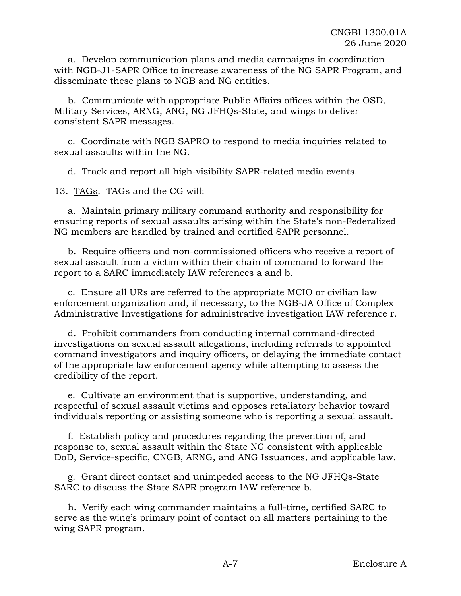a. Develop communication plans and media campaigns in coordination with NGB-J1-SAPR Office to increase awareness of the NG SAPR Program, and disseminate these plans to NGB and NG entities.

b. Communicate with appropriate Public Affairs offices within the OSD, Military Services, ARNG, ANG, NG JFHQs-State, and wings to deliver consistent SAPR messages.

c. Coordinate with NGB SAPRO to respond to media inquiries related to sexual assaults within the NG.

d. Track and report all high-visibility SAPR-related media events.

13. TAGs. TAGs and the CG will:

a. Maintain primary military command authority and responsibility for ensuring reports of sexual assaults arising within the State's non-Federalized NG members are handled by trained and certified SAPR personnel.

b. Require officers and non-commissioned officers who receive a report of sexual assault from a victim within their chain of command to forward the report to a SARC immediately IAW references a and b.

c. Ensure all URs are referred to the appropriate MCIO or civilian law enforcement organization and, if necessary, to the NGB-JA Office of Complex Administrative Investigations for administrative investigation IAW reference r.

d. Prohibit commanders from conducting internal command-directed investigations on sexual assault allegations, including referrals to appointed command investigators and inquiry officers, or delaying the immediate contact of the appropriate law enforcement agency while attempting to assess the credibility of the report.

e. Cultivate an environment that is supportive, understanding, and respectful of sexual assault victims and opposes retaliatory behavior toward individuals reporting or assisting someone who is reporting a sexual assault.

f. Establish policy and procedures regarding the prevention of, and response to, sexual assault within the State NG consistent with applicable DoD, Service-specific, CNGB, ARNG, and ANG Issuances, and applicable law.

g. Grant direct contact and unimpeded access to the NG JFHQs-State SARC to discuss the State SAPR program IAW reference b.

h. Verify each wing commander maintains a full-time, certified SARC to serve as the wing's primary point of contact on all matters pertaining to the wing SAPR program.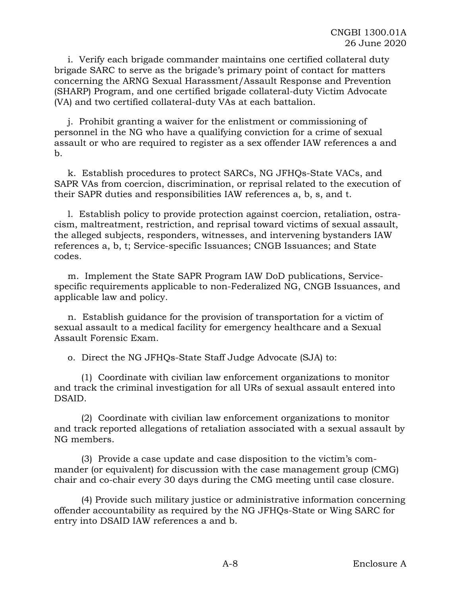i. Verify each brigade commander maintains one certified collateral duty brigade SARC to serve as the brigade's primary point of contact for matters concerning the ARNG Sexual Harassment/Assault Response and Prevention (SHARP) Program, and one certified brigade collateral-duty Victim Advocate (VA) and two certified collateral-duty VAs at each battalion.

j. Prohibit granting a waiver for the enlistment or commissioning of personnel in the NG who have a qualifying conviction for a crime of sexual assault or who are required to register as a sex offender IAW references a and  $h_{\cdot}$ 

k. Establish procedures to protect SARCs, NG JFHQs-State VACs, and SAPR VAs from coercion, discrimination, or reprisal related to the execution of their SAPR duties and responsibilities IAW references a, b, s, and t.

l. Establish policy to provide protection against coercion, retaliation, ostracism, maltreatment, restriction, and reprisal toward victims of sexual assault, the alleged subjects, responders, witnesses, and intervening bystanders IAW references a, b, t; Service-specific Issuances; CNGB Issuances; and State codes.

m. Implement the State SAPR Program IAW DoD publications, Servicespecific requirements applicable to non-Federalized NG, CNGB Issuances, and applicable law and policy.

n. Establish guidance for the provision of transportation for a victim of sexual assault to a medical facility for emergency healthcare and a Sexual Assault Forensic Exam.

o. Direct the NG JFHQs-State Staff Judge Advocate (SJA) to:

(1) Coordinate with civilian law enforcement organizations to monitor and track the criminal investigation for all URs of sexual assault entered into DSAID.

(2) Coordinate with civilian law enforcement organizations to monitor and track reported allegations of retaliation associated with a sexual assault by NG members.

(3) Provide a case update and case disposition to the victim's commander (or equivalent) for discussion with the case management group (CMG) chair and co-chair every 30 days during the CMG meeting until case closure.

(4) Provide such military justice or administrative information concerning offender accountability as required by the NG JFHQs-State or Wing SARC for entry into DSAID IAW references a and b.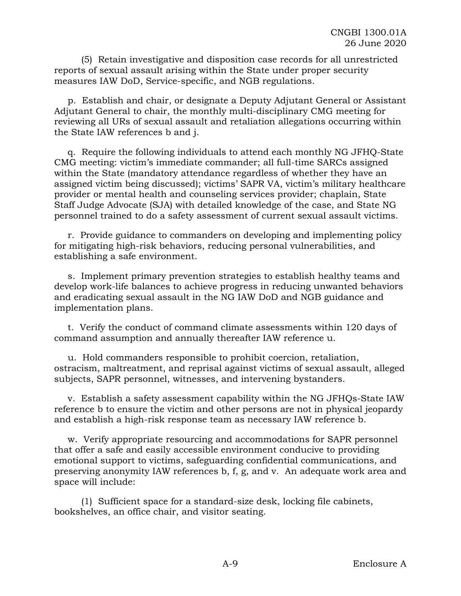(5) Retain investigative and disposition case records for all unrestricted reports of sexual assault arising within the State under proper security measures IAW DoD, Service-specific, and NGB regulations.

p. Establish and chair, or designate a Deputy Adjutant General or Assistant Adjutant General to chair, the monthly multi-disciplinary CMG meeting for reviewing all URs of sexual assault and retaliation allegations occurring within the State IAW references b and j.

q. Require the following individuals to attend each monthly NG JFHQ-State CMG meeting: victim's immediate commander; all full-time SARCs assigned within the State (mandatory attendance regardless of whether they have an assigned victim being discussed); victims' SAPR VA, victim's military healthcare provider or mental health and counseling services provider; chaplain, State Staff Judge Advocate (SJA) with detailed knowledge of the case, and State NG personnel trained to do a safety assessment of current sexual assault victims.

r. Provide guidance to commanders on developing and implementing policy for mitigating high-risk behaviors, reducing personal vulnerabilities, and establishing a safe environment.

s. Implement primary prevention strategies to establish healthy teams and develop work-life balances to achieve progress in reducing unwanted behaviors and eradicating sexual assault in the NG IAW DoD and NGB guidance and implementation plans.

t. Verify the conduct of command climate assessments within 120 days of command assumption and annually thereafter IAW reference u.

u. Hold commanders responsible to prohibit coercion, retaliation, ostracism, maltreatment, and reprisal against victims of sexual assault, alleged subjects, SAPR personnel, witnesses, and intervening bystanders.

v. Establish a safety assessment capability within the NG JFHQs-State IAW reference b to ensure the victim and other persons are not in physical jeopardy and establish a high-risk response team as necessary IAW reference b.

w. Verify appropriate resourcing and accommodations for SAPR personnel that offer a safe and easily accessible environment conducive to providing emotional support to victims, safeguarding confidential communications, and preserving anonymity IAW references b, f, g, and v. An adequate work area and space will include:

(1) Sufficient space for a standard-size desk, locking file cabinets, bookshelves, an office chair, and visitor seating.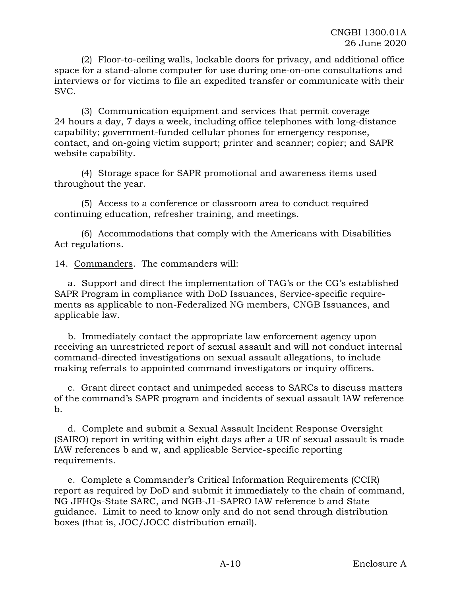(2) Floor-to-ceiling walls, lockable doors for privacy, and additional office space for a stand-alone computer for use during one-on-one consultations and interviews or for victims to file an expedited transfer or communicate with their SVC.

(3) Communication equipment and services that permit coverage 24 hours a day, 7 days a week, including office telephones with long-distance capability; government-funded cellular phones for emergency response, contact, and on-going victim support; printer and scanner; copier; and SAPR website capability.

(4) Storage space for SAPR promotional and awareness items used throughout the year.

(5) Access to a conference or classroom area to conduct required continuing education, refresher training, and meetings.

(6) Accommodations that comply with the Americans with Disabilities Act regulations.

14. Commanders. The commanders will:

a. Support and direct the implementation of TAG's or the CG's established SAPR Program in compliance with DoD Issuances, Service-specific requirements as applicable to non-Federalized NG members, CNGB Issuances, and applicable law.

b. Immediately contact the appropriate law enforcement agency upon receiving an unrestricted report of sexual assault and will not conduct internal command-directed investigations on sexual assault allegations, to include making referrals to appointed command investigators or inquiry officers.

c. Grant direct contact and unimpeded access to SARCs to discuss matters of the command's SAPR program and incidents of sexual assault IAW reference b.

d. Complete and submit a Sexual Assault Incident Response Oversight (SAIRO) report in writing within eight days after a UR of sexual assault is made IAW references b and w, and applicable Service-specific reporting requirements.

e. Complete a Commander's Critical Information Requirements (CCIR) report as required by DoD and submit it immediately to the chain of command, NG JFHQs-State SARC, and NGB-J1-SAPRO IAW reference b and State guidance. Limit to need to know only and do not send through distribution boxes (that is, JOC/JOCC distribution email).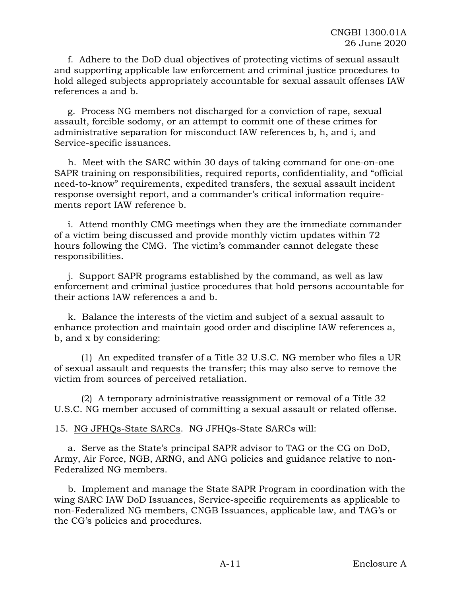f. Adhere to the DoD dual objectives of protecting victims of sexual assault and supporting applicable law enforcement and criminal justice procedures to hold alleged subjects appropriately accountable for sexual assault offenses IAW references a and b.

g. Process NG members not discharged for a conviction of rape, sexual assault, forcible sodomy, or an attempt to commit one of these crimes for administrative separation for misconduct IAW references b, h, and i, and Service-specific issuances.

h. Meet with the SARC within 30 days of taking command for one-on-one SAPR training on responsibilities, required reports, confidentiality, and "official need-to-know" requirements, expedited transfers, the sexual assault incident response oversight report, and a commander's critical information requirements report IAW reference b.

i. Attend monthly CMG meetings when they are the immediate commander of a victim being discussed and provide monthly victim updates within 72 hours following the CMG. The victim's commander cannot delegate these responsibilities.

j. Support SAPR programs established by the command, as well as law enforcement and criminal justice procedures that hold persons accountable for their actions IAW references a and b.

k. Balance the interests of the victim and subject of a sexual assault to enhance protection and maintain good order and discipline IAW references a, b, and x by considering:

(1) An expedited transfer of a Title 32 U.S.C. NG member who files a UR of sexual assault and requests the transfer; this may also serve to remove the victim from sources of perceived retaliation.

(2) A temporary administrative reassignment or removal of a Title 32 U.S.C. NG member accused of committing a sexual assault or related offense.

15. NG JFHQs-State SARCs. NG JFHQs-State SARCs will:

a. Serve as the State's principal SAPR advisor to TAG or the CG on DoD, Army, Air Force, NGB, ARNG, and ANG policies and guidance relative to non-Federalized NG members.

b. Implement and manage the State SAPR Program in coordination with the wing SARC IAW DoD Issuances, Service-specific requirements as applicable to non-Federalized NG members, CNGB Issuances, applicable law, and TAG's or the CG's policies and procedures.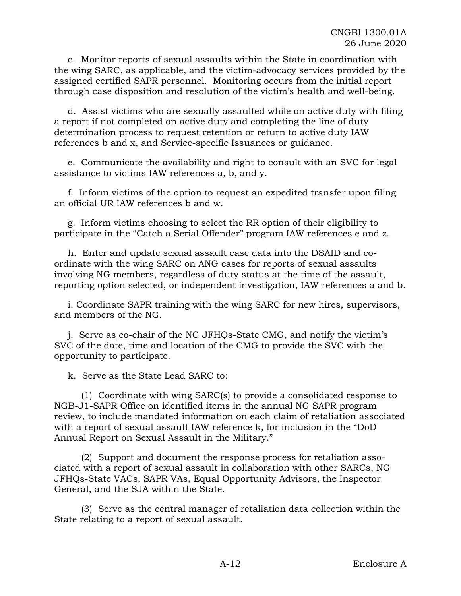c. Monitor reports of sexual assaults within the State in coordination with the wing SARC, as applicable, and the victim-advocacy services provided by the assigned certified SAPR personnel. Monitoring occurs from the initial report through case disposition and resolution of the victim's health and well-being.

d. Assist victims who are sexually assaulted while on active duty with filing a report if not completed on active duty and completing the line of duty determination process to request retention or return to active duty IAW references b and x, and Service-specific Issuances or guidance.

e. Communicate the availability and right to consult with an SVC for legal assistance to victims IAW references a, b, and y.

f. Inform victims of the option to request an expedited transfer upon filing an official UR IAW references b and w.

g. Inform victims choosing to select the RR option of their eligibility to participate in the "Catch a Serial Offender" program IAW references e and z.

h. Enter and update sexual assault case data into the DSAID and coordinate with the wing SARC on ANG cases for reports of sexual assaults involving NG members, regardless of duty status at the time of the assault, reporting option selected, or independent investigation, IAW references a and b.

i. Coordinate SAPR training with the wing SARC for new hires, supervisors, and members of the NG.

j. Serve as co-chair of the NG JFHQs-State CMG, and notify the victim's SVC of the date, time and location of the CMG to provide the SVC with the opportunity to participate.

k. Serve as the State Lead SARC to:

(1) Coordinate with wing SARC(s) to provide a consolidated response to NGB-J1-SAPR Office on identified items in the annual NG SAPR program review, to include mandated information on each claim of retaliation associated with a report of sexual assault IAW reference k, for inclusion in the "DoD Annual Report on Sexual Assault in the Military."

(2) Support and document the response process for retaliation associated with a report of sexual assault in collaboration with other SARCs, NG JFHQs-State VACs, SAPR VAs, Equal Opportunity Advisors, the Inspector General, and the SJA within the State.

(3) Serve as the central manager of retaliation data collection within the State relating to a report of sexual assault.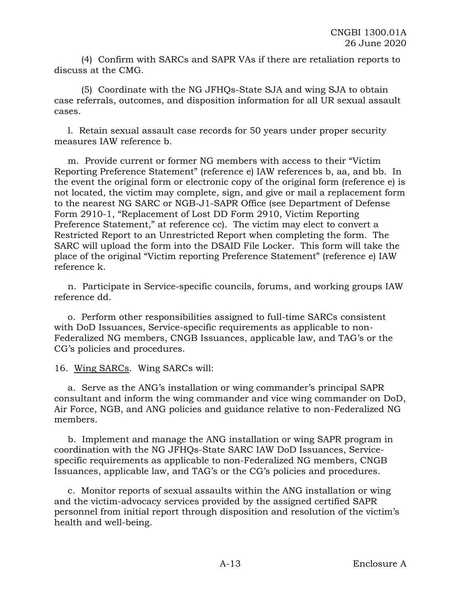(4) Confirm with SARCs and SAPR VAs if there are retaliation reports to discuss at the CMG.

(5) Coordinate with the NG JFHQs-State SJA and wing SJA to obtain case referrals, outcomes, and disposition information for all UR sexual assault cases.

l. Retain sexual assault case records for 50 years under proper security measures IAW reference b.

m. Provide current or former NG members with access to their "Victim Reporting Preference Statement" (reference e) IAW references b, aa, and bb. In the event the original form or electronic copy of the original form (reference e) is not located, the victim may complete, sign, and give or mail a replacement form to the nearest NG SARC or NGB-J1-SAPR Office (see Department of Defense Form 2910-1, "Replacement of Lost DD Form 2910, Victim Reporting Preference Statement," at reference cc). The victim may elect to convert a Restricted Report to an Unrestricted Report when completing the form. The SARC will upload the form into the DSAID File Locker. This form will take the place of the original "Victim reporting Preference Statement" (reference e) IAW reference k.

n. Participate in Service-specific councils, forums, and working groups IAW reference dd.

o. Perform other responsibilities assigned to full-time SARCs consistent with DoD Issuances, Service-specific requirements as applicable to non-Federalized NG members, CNGB Issuances, applicable law, and TAG's or the CG's policies and procedures.

16. Wing SARCs. Wing SARCs will:

a. Serve as the ANG's installation or wing commander's principal SAPR consultant and inform the wing commander and vice wing commander on DoD, Air Force, NGB, and ANG policies and guidance relative to non-Federalized NG members.

b. Implement and manage the ANG installation or wing SAPR program in coordination with the NG JFHQs-State SARC IAW DoD Issuances, Servicespecific requirements as applicable to non-Federalized NG members, CNGB Issuances, applicable law, and TAG's or the CG's policies and procedures.

c. Monitor reports of sexual assaults within the ANG installation or wing and the victim-advocacy services provided by the assigned certified SAPR personnel from initial report through disposition and resolution of the victim's health and well-being.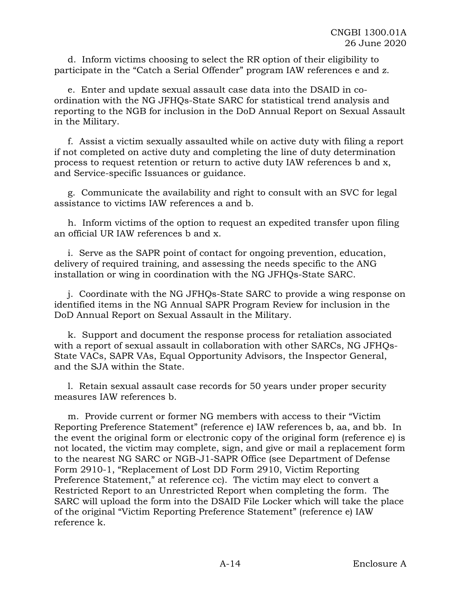d. Inform victims choosing to select the RR option of their eligibility to participate in the "Catch a Serial Offender" program IAW references e and z.

e. Enter and update sexual assault case data into the DSAID in coordination with the NG JFHQs-State SARC for statistical trend analysis and reporting to the NGB for inclusion in the DoD Annual Report on Sexual Assault in the Military.

f. Assist a victim sexually assaulted while on active duty with filing a report if not completed on active duty and completing the line of duty determination process to request retention or return to active duty IAW references b and x, and Service-specific Issuances or guidance.

g. Communicate the availability and right to consult with an SVC for legal assistance to victims IAW references a and b.

h. Inform victims of the option to request an expedited transfer upon filing an official UR IAW references b and x.

i. Serve as the SAPR point of contact for ongoing prevention, education, delivery of required training, and assessing the needs specific to the ANG installation or wing in coordination with the NG JFHQs-State SARC.

j. Coordinate with the NG JFHQs-State SARC to provide a wing response on identified items in the NG Annual SAPR Program Review for inclusion in the DoD Annual Report on Sexual Assault in the Military.

k. Support and document the response process for retaliation associated with a report of sexual assault in collaboration with other SARCs, NG JFHQs-State VACs, SAPR VAs, Equal Opportunity Advisors, the Inspector General, and the SJA within the State.

l. Retain sexual assault case records for 50 years under proper security measures IAW references b.

m. Provide current or former NG members with access to their "Victim Reporting Preference Statement" (reference e) IAW references b, aa, and bb. In the event the original form or electronic copy of the original form (reference e) is not located, the victim may complete, sign, and give or mail a replacement form to the nearest NG SARC or NGB-J1-SAPR Office (see Department of Defense Form 2910-1, "Replacement of Lost DD Form 2910, Victim Reporting Preference Statement," at reference cc). The victim may elect to convert a Restricted Report to an Unrestricted Report when completing the form. The SARC will upload the form into the DSAID File Locker which will take the place of the original "Victim Reporting Preference Statement" (reference e) IAW reference k.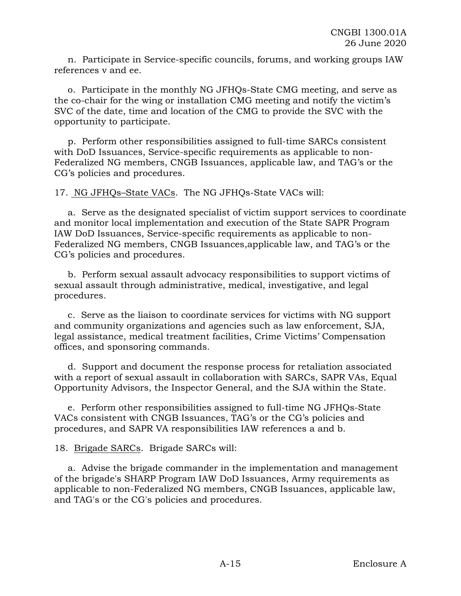n. Participate in Service-specific councils, forums, and working groups IAW references v and ee.

o. Participate in the monthly NG JFHQs-State CMG meeting, and serve as the co-chair for the wing or installation CMG meeting and notify the victim's SVC of the date, time and location of the CMG to provide the SVC with the opportunity to participate.

p. Perform other responsibilities assigned to full-time SARCs consistent with DoD Issuances, Service-specific requirements as applicable to non-Federalized NG members, CNGB Issuances, applicable law, and TAG's or the CG's policies and procedures.

17. NG JFHQs–State VACs. The NG JFHQs-State VACs will:

a. Serve as the designated specialist of victim support services to coordinate and monitor local implementation and execution of the State SAPR Program IAW DoD Issuances, Service-specific requirements as applicable to non-Federalized NG members, CNGB Issuances,applicable law, and TAG's or the CG's policies and procedures.

b. Perform sexual assault advocacy responsibilities to support victims of sexual assault through administrative, medical, investigative, and legal procedures.

c. Serve as the liaison to coordinate services for victims with NG support and community organizations and agencies such as law enforcement, SJA, legal assistance, medical treatment facilities, Crime Victims' Compensation offices, and sponsoring commands.

d. Support and document the response process for retaliation associated with a report of sexual assault in collaboration with SARCs, SAPR VAs, Equal Opportunity Advisors, the Inspector General, and the SJA within the State.

e. Perform other responsibilities assigned to full-time NG JFHQs-State VACs consistent with CNGB Issuances, TAG's or the CG's policies and procedures, and SAPR VA responsibilities IAW references a and b.

18. Brigade SARCs. Brigade SARCs will:

a. Advise the brigade commander in the implementation and management of the brigade's SHARP Program IAW DoD Issuances, Army requirements as applicable to non-Federalized NG members, CNGB Issuances, applicable law, and TAG's or the CG's policies and procedures.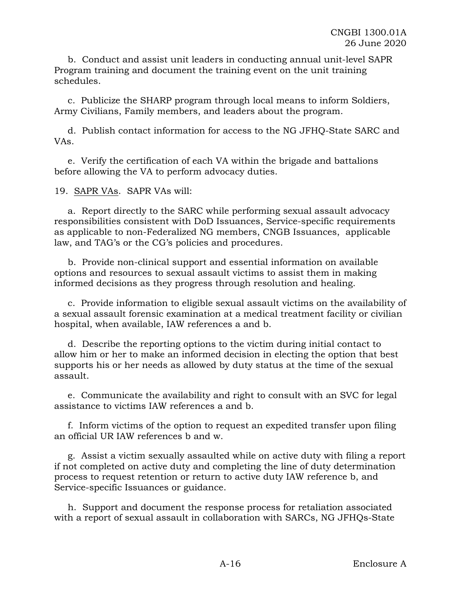b. Conduct and assist unit leaders in conducting annual unit-level SAPR Program training and document the training event on the unit training schedules.

c. Publicize the SHARP program through local means to inform Soldiers, Army Civilians, Family members, and leaders about the program.

d. Publish contact information for access to the NG JFHQ-State SARC and VAs.

e. Verify the certification of each VA within the brigade and battalions before allowing the VA to perform advocacy duties.

19. SAPR VAs. SAPR VAs will:

a. Report directly to the SARC while performing sexual assault advocacy responsibilities consistent with DoD Issuances, Service-specific requirements as applicable to non-Federalized NG members, CNGB Issuances, applicable law, and TAG's or the CG's policies and procedures.

b. Provide non-clinical support and essential information on available options and resources to sexual assault victims to assist them in making informed decisions as they progress through resolution and healing.

c. Provide information to eligible sexual assault victims on the availability of a sexual assault forensic examination at a medical treatment facility or civilian hospital, when available, IAW references a and b.

d. Describe the reporting options to the victim during initial contact to allow him or her to make an informed decision in electing the option that best supports his or her needs as allowed by duty status at the time of the sexual assault.

e. Communicate the availability and right to consult with an SVC for legal assistance to victims IAW references a and b.

f. Inform victims of the option to request an expedited transfer upon filing an official UR IAW references b and w.

g. Assist a victim sexually assaulted while on active duty with filing a report if not completed on active duty and completing the line of duty determination process to request retention or return to active duty IAW reference b, and Service-specific Issuances or guidance.

h. Support and document the response process for retaliation associated with a report of sexual assault in collaboration with SARCs, NG JFHQs-State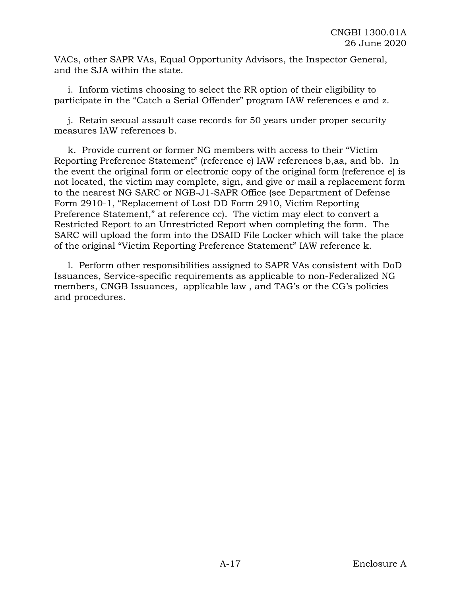VACs, other SAPR VAs, Equal Opportunity Advisors, the Inspector General, and the SJA within the state.

i. Inform victims choosing to select the RR option of their eligibility to participate in the "Catch a Serial Offender" program IAW references e and z.

j. Retain sexual assault case records for 50 years under proper security measures IAW references b.

k. Provide current or former NG members with access to their "Victim Reporting Preference Statement" (reference e) IAW references b,aa, and bb. In the event the original form or electronic copy of the original form (reference e) is not located, the victim may complete, sign, and give or mail a replacement form to the nearest NG SARC or NGB-J1-SAPR Office (see Department of Defense Form 2910-1, "Replacement of Lost DD Form 2910, Victim Reporting Preference Statement," at reference cc). The victim may elect to convert a Restricted Report to an Unrestricted Report when completing the form. The SARC will upload the form into the DSAID File Locker which will take the place of the original "Victim Reporting Preference Statement" IAW reference k.

l. Perform other responsibilities assigned to SAPR VAs consistent with DoD Issuances, Service-specific requirements as applicable to non-Federalized NG members, CNGB Issuances, applicable law , and TAG's or the CG's policies and procedures.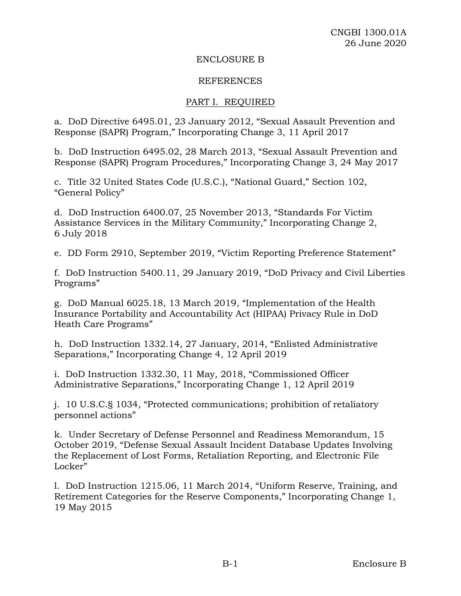#### ENCLOSURE B

#### REFERENCES

#### PART I. REQUIRED

a. DoD Directive 6495.01, 23 January 2012, "Sexual Assault Prevention and Response (SAPR) Program," Incorporating Change 3, 11 April 2017

b. DoD Instruction 6495.02, 28 March 2013, "Sexual Assault Prevention and Response (SAPR) Program Procedures," Incorporating Change 3, 24 May 2017

c. Title 32 United States Code (U.S.C.), "National Guard," Section 102, "General Policy"

d. DoD Instruction 6400.07, 25 November 2013, "Standards For Victim Assistance Services in the Military Community," Incorporating Change 2, 6 July 2018

e. DD Form 2910, September 2019, "Victim Reporting Preference Statement"

f. DoD Instruction 5400.11, 29 January 2019, "DoD Privacy and Civil Liberties Programs"

g. DoD Manual 6025.18, 13 March 2019, "Implementation of the Health Insurance Portability and Accountability Act (HIPAA) Privacy Rule in DoD Heath Care Programs"

h. DoD Instruction 1332.14, 27 January, 2014, "Enlisted Administrative Separations," Incorporating Change 4, 12 April 2019

i. DoD Instruction 1332.30, 11 May, 2018, "Commissioned Officer Administrative Separations," Incorporating Change 1, 12 April 2019

j. 10 U.S.C.§ 1034, "Protected communications; prohibition of retaliatory personnel actions"

k. Under Secretary of Defense Personnel and Readiness Memorandum, 15 October 2019, "Defense Sexual Assault Incident Database Updates Involving the Replacement of Lost Forms, Retaliation Reporting, and Electronic File Locker"

l. DoD Instruction 1215.06, 11 March 2014, "Uniform Reserve, Training, and Retirement Categories for the Reserve Components," Incorporating Change 1, 19 May 2015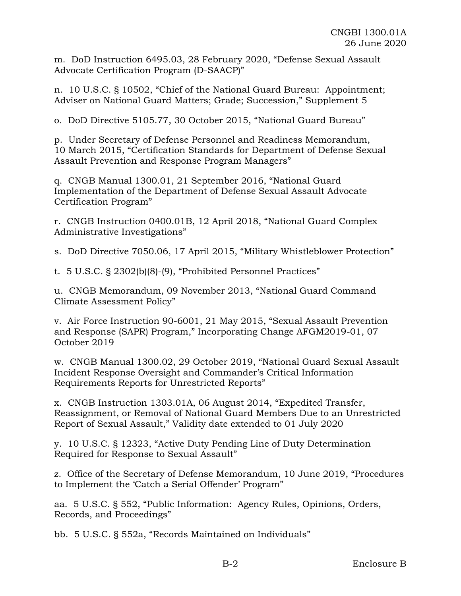m. DoD Instruction 6495.03, 28 February 2020, "Defense Sexual Assault Advocate Certification Program (D-SAACP)"

n. 10 U.S.C. § 10502, "Chief of the National Guard Bureau: Appointment; Adviser on National Guard Matters; Grade; Succession," Supplement 5

o. DoD Directive 5105.77, 30 October 2015, "National Guard Bureau"

p. Under Secretary of Defense Personnel and Readiness Memorandum, 10 March 2015, "Certification Standards for Department of Defense Sexual Assault Prevention and Response Program Managers"

q. CNGB Manual 1300.01, 21 September 2016, "National Guard Implementation of the Department of Defense Sexual Assault Advocate Certification Program"

r. CNGB Instruction 0400.01B, 12 April 2018, "National Guard Complex Administrative Investigations"

s. DoD Directive 7050.06, 17 April 2015, "Military Whistleblower Protection"

t. 5 U.S.C. § 2302(b)(8)-(9), "Prohibited Personnel Practices"

u. CNGB Memorandum, 09 November 2013, "National Guard Command Climate Assessment Policy"

v. Air Force Instruction 90-6001, 21 May 2015, "Sexual Assault Prevention and Response (SAPR) Program," Incorporating Change AFGM2019-01, 07 October 2019

w. CNGB Manual 1300.02, 29 October 2019, "National Guard Sexual Assault Incident Response Oversight and Commander's Critical Information Requirements Reports for Unrestricted Reports"

x. CNGB Instruction 1303.01A, 06 August 2014, "Expedited Transfer, Reassignment, or Removal of National Guard Members Due to an Unrestricted Report of Sexual Assault," Validity date extended to 01 July 2020

y. 10 U.S.C. § 12323, "Active Duty Pending Line of Duty Determination Required for Response to Sexual Assault"

z. Office of the Secretary of Defense Memorandum, 10 June 2019, "Procedures to Implement the 'Catch a Serial Offender' Program"

aa. 5 U.S.C. § 552, "Public Information: Agency Rules, Opinions, Orders, Records, and Proceedings"

bb. 5 U.S.C. § 552a, "Records Maintained on Individuals"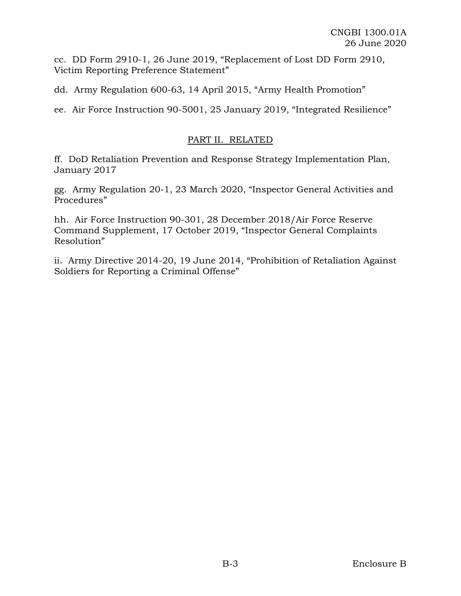cc. DD Form 2910-1, 26 June 2019, "Replacement of Lost DD Form 2910, Victim Reporting Preference Statement"

dd. Army Regulation 600-63, 14 April 2015, "Army Health Promotion"

ee. Air Force Instruction 90-5001, 25 January 2019, "Integrated Resilience"

# PART II. RELATED

ff. DoD Retaliation Prevention and Response Strategy Implementation Plan, January 2017

gg. Army Regulation 20-1, 23 March 2020, "Inspector General Activities and Procedures"

hh. Air Force Instruction 90-301, 28 December 2018/Air Force Reserve Command Supplement, 17 October 2019, "Inspector General Complaints Resolution"

ii. Army Directive 2014-20, 19 June 2014, "Prohibition of Retaliation Against Soldiers for Reporting a Criminal Offense"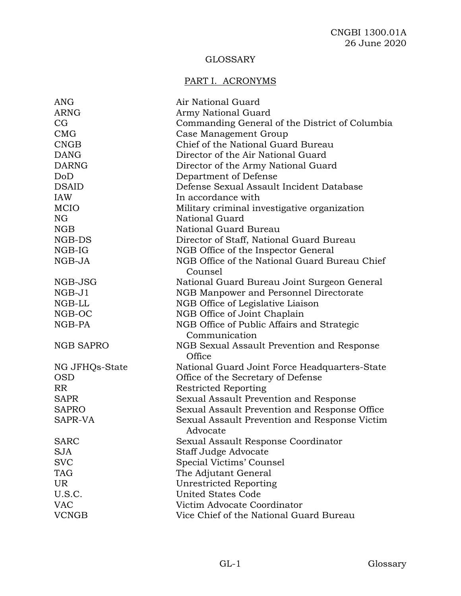# GLOSSARY

# PART I. ACRONYMS

| ANG              | Air National Guard                                        |
|------------------|-----------------------------------------------------------|
| <b>ARNG</b>      | Army National Guard                                       |
| CG               | Commanding General of the District of Columbia            |
| CMG              | Case Management Group                                     |
| <b>CNGB</b>      | Chief of the National Guard Bureau                        |
| <b>DANG</b>      | Director of the Air National Guard                        |
| <b>DARNG</b>     | Director of the Army National Guard                       |
| DoD              | Department of Defense                                     |
| <b>DSAID</b>     | Defense Sexual Assault Incident Database                  |
| IAW              | In accordance with                                        |
| <b>MCIO</b>      | Military criminal investigative organization              |
| <b>NG</b>        | <b>National Guard</b>                                     |
| NGB              | National Guard Bureau                                     |
| NGB-DS           | Director of Staff, National Guard Bureau                  |
| NGB-IG           | NGB Office of the Inspector General                       |
| NGB-JA           | NGB Office of the National Guard Bureau Chief<br>Counsel  |
| NGB-JSG          | National Guard Bureau Joint Surgeon General               |
| $NGB-J1$         | NGB Manpower and Personnel Directorate                    |
| NGB-LL           | NGB Office of Legislative Liaison                         |
| NGB-OC           | NGB Office of Joint Chaplain                              |
| NGB-PA           | NGB Office of Public Affairs and Strategic                |
|                  | Communication                                             |
| <b>NGB SAPRO</b> | NGB Sexual Assault Prevention and Response<br>Office      |
| NG JFHQs-State   | National Guard Joint Force Headquarters-State             |
| <b>OSD</b>       | Office of the Secretary of Defense                        |
| RR               | <b>Restricted Reporting</b>                               |
| <b>SAPR</b>      | Sexual Assault Prevention and Response                    |
| <b>SAPRO</b>     | Sexual Assault Prevention and Response Office             |
| SAPR-VA          | Sexual Assault Prevention and Response Victim<br>Advocate |
| SARC             | Sexual Assault Response Coordinator                       |
| <b>SJA</b>       | Staff Judge Advocate                                      |
| <b>SVC</b>       | Special Victims' Counsel                                  |
| <b>TAG</b>       | The Adjutant General                                      |
| <b>UR</b>        | <b>Unrestricted Reporting</b>                             |
| U.S.C.           | <b>United States Code</b>                                 |
| <b>VAC</b>       | Victim Advocate Coordinator                               |
| <b>VCNGB</b>     | Vice Chief of the National Guard Bureau                   |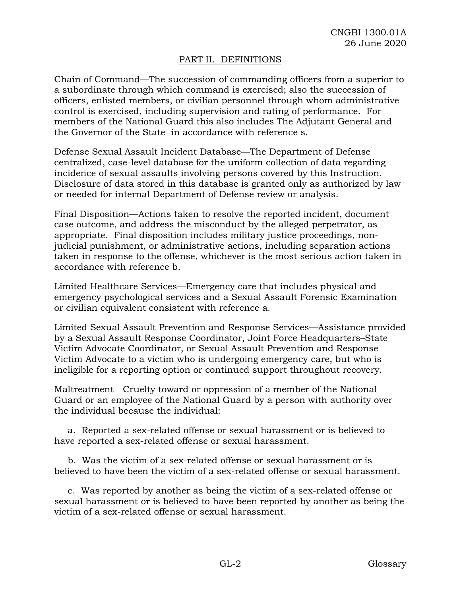# PART II. DEFINITIONS

Chain of Command—The succession of commanding officers from a superior to a subordinate through which command is exercised; also the succession of officers, enlisted members, or civilian personnel through whom administrative control is exercised, including supervision and rating of performance. For members of the National Guard this also includes The Adjutant General and the Governor of the State in accordance with reference s.

Defense Sexual Assault Incident Database—The Department of Defense centralized, case-level database for the uniform collection of data regarding incidence of sexual assaults involving persons covered by this Instruction. Disclosure of data stored in this database is granted only as authorized by law or needed for internal Department of Defense review or analysis.

Final Disposition—Actions taken to resolve the reported incident, document case outcome, and address the misconduct by the alleged perpetrator, as appropriate. Final disposition includes military justice proceedings, nonjudicial punishment, or administrative actions, including separation actions taken in response to the offense, whichever is the most serious action taken in accordance with reference b.

Limited Healthcare Services—Emergency care that includes physical and emergency psychological services and a Sexual Assault Forensic Examination or civilian equivalent consistent with reference a.

Limited Sexual Assault Prevention and Response Services—Assistance provided by a Sexual Assault Response Coordinator, Joint Force Headquarters–State Victim Advocate Coordinator, or Sexual Assault Prevention and Response Victim Advocate to a victim who is undergoing emergency care, but who is ineligible for a reporting option or continued support throughout recovery.

Maltreatment—Cruelty toward or oppression of a member of the National Guard or an employee of the National Guard by a person with authority over the individual because the individual:

a. Reported a sex-related offense or sexual harassment or is believed to have reported a sex-related offense or sexual harassment.

b. Was the victim of a sex-related offense or sexual harassment or is believed to have been the victim of a sex-related offense or sexual harassment.

c. Was reported by another as being the victim of a sex-related offense or sexual harassment or is believed to have been reported by another as being the victim of a sex-related offense or sexual harassment.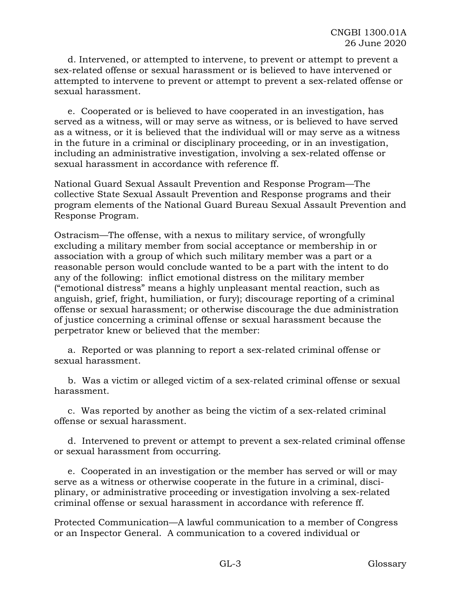d. Intervened, or attempted to intervene, to prevent or attempt to prevent a sex-related offense or sexual harassment or is believed to have intervened or attempted to intervene to prevent or attempt to prevent a sex-related offense or sexual harassment.

e. Cooperated or is believed to have cooperated in an investigation, has served as a witness, will or may serve as witness, or is believed to have served as a witness, or it is believed that the individual will or may serve as a witness in the future in a criminal or disciplinary proceeding, or in an investigation, including an administrative investigation, involving a sex-related offense or sexual harassment in accordance with reference ff.

National Guard Sexual Assault Prevention and Response Program—The collective State Sexual Assault Prevention and Response programs and their program elements of the National Guard Bureau Sexual Assault Prevention and Response Program.

Ostracism—The offense, with a nexus to military service, of wrongfully excluding a military member from social acceptance or membership in or association with a group of which such military member was a part or a reasonable person would conclude wanted to be a part with the intent to do any of the following: inflict emotional distress on the military member ("emotional distress" means a highly unpleasant mental reaction, such as anguish, grief, fright, humiliation, or fury); discourage reporting of a criminal offense or sexual harassment; or otherwise discourage the due administration of justice concerning a criminal offense or sexual harassment because the perpetrator knew or believed that the member:

a. Reported or was planning to report a sex-related criminal offense or sexual harassment.

b. Was a victim or alleged victim of a sex-related criminal offense or sexual harassment.

c. Was reported by another as being the victim of a sex-related criminal offense or sexual harassment.

d. Intervened to prevent or attempt to prevent a sex-related criminal offense or sexual harassment from occurring.

e. Cooperated in an investigation or the member has served or will or may serve as a witness or otherwise cooperate in the future in a criminal, disciplinary, or administrative proceeding or investigation involving a sex-related criminal offense or sexual harassment in accordance with reference ff.

Protected Communication—A lawful communication to a member of Congress or an Inspector General. A communication to a covered individual or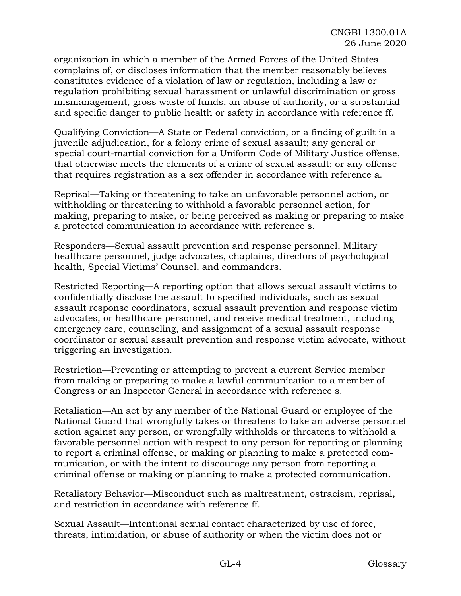organization in which a member of the Armed Forces of the United States complains of, or discloses information that the member reasonably believes constitutes evidence of a violation of law or regulation, including a law or regulation prohibiting sexual harassment or unlawful discrimination or gross mismanagement, gross waste of funds, an abuse of authority, or a substantial and specific danger to public health or safety in accordance with reference ff.

Qualifying Conviction—A State or Federal conviction, or a finding of guilt in a juvenile adjudication, for a felony crime of sexual assault; any general or special court-martial conviction for a Uniform Code of Military Justice offense, that otherwise meets the elements of a crime of sexual assault; or any offense that requires registration as a sex offender in accordance with reference a.

Reprisal—Taking or threatening to take an unfavorable personnel action, or withholding or threatening to withhold a favorable personnel action, for making, preparing to make, or being perceived as making or preparing to make a protected communication in accordance with reference s.

Responders—Sexual assault prevention and response personnel, Military healthcare personnel, judge advocates, chaplains, directors of psychological health, Special Victims' Counsel, and commanders.

Restricted Reporting—A reporting option that allows sexual assault victims to confidentially disclose the assault to specified individuals, such as sexual assault response coordinators, sexual assault prevention and response victim advocates, or healthcare personnel, and receive medical treatment, including emergency care, counseling, and assignment of a sexual assault response coordinator or sexual assault prevention and response victim advocate, without triggering an investigation.

Restriction—Preventing or attempting to prevent a current Service member from making or preparing to make a lawful communication to a member of Congress or an Inspector General in accordance with reference s.

Retaliation—An act by any member of the National Guard or employee of the National Guard that wrongfully takes or threatens to take an adverse personnel action against any person, or wrongfully withholds or threatens to withhold a favorable personnel action with respect to any person for reporting or planning to report a criminal offense, or making or planning to make a protected communication, or with the intent to discourage any person from reporting a criminal offense or making or planning to make a protected communication.

Retaliatory Behavior—Misconduct such as maltreatment, ostracism, reprisal, and restriction in accordance with reference ff.

Sexual Assault—Intentional sexual contact characterized by use of force, threats, intimidation, or abuse of authority or when the victim does not or